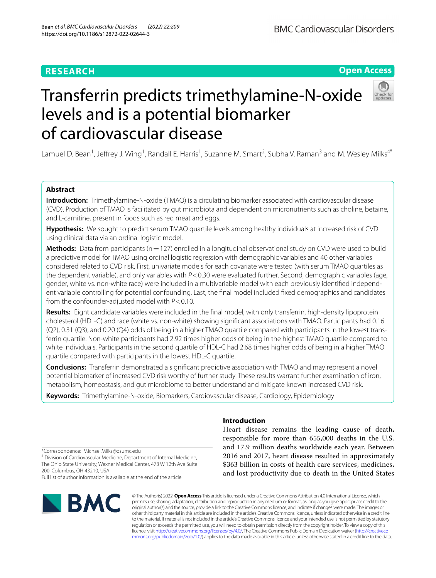## **Open Access**

# Transferrin predicts trimethylamine-N-oxide levels and is a potential biomarker of cardiovascular disease

Lamuel D. Bean<sup>1</sup>, Jeffrey J. Wing<sup>1</sup>, Randall E. Harris<sup>1</sup>, Suzanne M. Smart<sup>2</sup>, Subha V. Raman<sup>3</sup> and M. Wesley Milks<sup>4\*</sup>

## **Abstract**

**Introduction:** Trimethylamine-N-oxide (TMAO) is a circulating biomarker associated with cardiovascular disease (CVD). Production of TMAO is facilitated by gut microbiota and dependent on micronutrients such as choline, betaine, and L-carnitine, present in foods such as red meat and eggs.

**Hypothesis:** We sought to predict serum TMAO quartile levels among healthy individuals at increased risk of CVD using clinical data via an ordinal logistic model.

**Methods:** Data from participants (n=127) enrolled in a longitudinal observational study on CVD were used to build a predictive model for TMAO using ordinal logistic regression with demographic variables and 40 other variables considered related to CVD risk. First, univariate models for each covariate were tested (with serum TMAO quartiles as the dependent variable), and only variables with *P*<0.30 were evaluated further. Second, demographic variables (age, gender, white vs. non-white race) were included in a multivariable model with each previously identifed independent variable controlling for potential confounding. Last, the fnal model included fxed demographics and candidates from the confounder-adjusted model with *P*<0.10.

**Results:** Eight candidate variables were included in the fnal model, with only transferrin, high-density lipoprotein cholesterol (HDL-C) and race (white vs. non-white) showing signifcant associations with TMAO. Participants had 0.16 (Q2), 0.31 (Q3), and 0.20 (Q4) odds of being in a higher TMAO quartile compared with participants in the lowest transferrin quartile. Non-white participants had 2.92 times higher odds of being in the highest TMAO quartile compared to white individuals. Participants in the second quartile of HDL-C had 2.68 times higher odds of being in a higher TMAO quartile compared with participants in the lowest HDL-C quartile.

**Conclusions:** Transferrin demonstrated a signifcant predictive association with TMAO and may represent a novel potential biomarker of increased CVD risk worthy of further study. These results warrant further examination of iron, metabolism, homeostasis, and gut microbiome to better understand and mitigate known increased CVD risk.

**Keywords:** Trimethylamine-N-oxide, Biomarkers, Cardiovascular disease, Cardiology, Epidemiology

\*Correspondence: Michael.Milks@osumc.edu

<sup>4</sup> Division of Cardiovascular Medicine, Department of Internal Medicine, The Ohio State University, Wexner Medical Center, 473 W 12th Ave Suite 200, Columbus, OH 43210, USA

Full list of author information is available at the end of the article



## **Introduction**

Heart disease remains the leading cause of death, responsible for more than 655,000 deaths in the U.S. and 17.9 million deaths worldwide each year. Between 2016 and 2017, heart disease resulted in approximately \$363 billion in costs of health care services, medicines, and lost productivity due to death in the United States

© The Author(s) 2022. **Open Access** This article is licensed under a Creative Commons Attribution 4.0 International License, which permits use, sharing, adaptation, distribution and reproduction in any medium or format, as long as you give appropriate credit to the original author(s) and the source, provide a link to the Creative Commons licence, and indicate if changes were made. The images or other third party material in this article are included in the article's Creative Commons licence, unless indicated otherwise in a credit line to the material. If material is not included in the article's Creative Commons licence and your intended use is not permitted by statutory regulation or exceeds the permitted use, you will need to obtain permission directly from the copyright holder. To view a copy of this licence, visit [http://creativecommons.org/licenses/by/4.0/.](http://creativecommons.org/licenses/by/4.0/) The Creative Commons Public Domain Dedication waiver ([http://creativeco](http://creativecommons.org/publicdomain/zero/1.0/) [mmons.org/publicdomain/zero/1.0/](http://creativecommons.org/publicdomain/zero/1.0/)) applies to the data made available in this article, unless otherwise stated in a credit line to the data.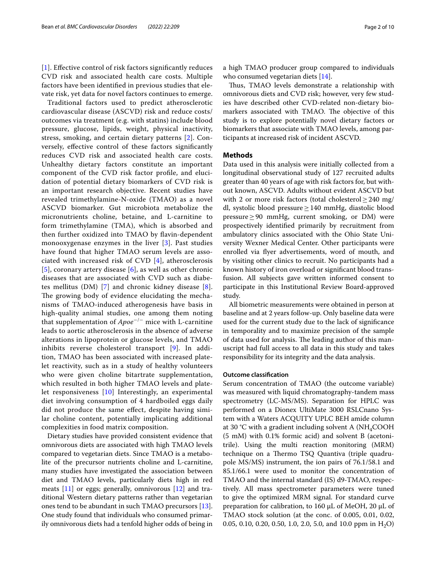[[1](#page-8-0)]. Efective control of risk factors signifcantly reduces CVD risk and associated health care costs. Multiple factors have been identifed in previous studies that elevate risk, yet data for novel factors continues to emerge.

Traditional factors used to predict atherosclerotic cardiovascular disease (ASCVD) risk and reduce costs/ outcomes via treatment (e.g. with statins) include blood pressure, glucose, lipids, weight, physical inactivity, stress, smoking, and certain dietary patterns [[2](#page-8-1)]. Conversely, efective control of these factors signifcantly reduces CVD risk and associated health care costs. Unhealthy dietary factors constitute an important component of the CVD risk factor profle, and elucidation of potential dietary biomarkers of CVD risk is an important research objective. Recent studies have revealed trimethylamine-N-oxide (TMAO) as a novel ASCVD biomarker. Gut microbiota metabolize the micronutrients choline, betaine, and L-carnitine to form trimethylamine (TMA), which is absorbed and then further oxidized into TMAO by favin-dependent monooxygenase enzymes in the liver [[3\]](#page-8-2). Past studies have found that higher TMAO serum levels are associated with increased risk of CVD [\[4](#page-8-3)], atherosclerosis [[5](#page-8-4)], coronary artery disease [[6](#page-8-5)], as well as other chronic diseases that are associated with CVD such as diabetes mellitus (DM) [\[7](#page-8-6)] and chronic kidney disease [[8\]](#page-8-7). The growing body of evidence elucidating the mechanisms of TMAO-induced atherogenesis have basis in high-quality animal studies, one among them noting that supplementation of *Apoe*−/− mice with L-carnitine leads to aortic atherosclerosis in the absence of adverse alterations in lipoprotein or glucose levels, and TMAO inhibits reverse cholesterol transport [\[9\]](#page-8-8). In addition, TMAO has been associated with increased platelet reactivity, such as in a study of healthy volunteers who were given choline bitartrate supplementation, which resulted in both higher TMAO levels and platelet responsiveness [[10\]](#page-8-9) Interestingly, an experimental diet involving consumption of 4 hardboiled eggs daily did not produce the same efect, despite having similar choline content, potentially implicating additional complexities in food matrix composition.

Dietary studies have provided consistent evidence that omnivorous diets are associated with high TMAO levels compared to vegetarian diets. Since TMAO is a metabolite of the precursor nutrients choline and L-carnitine, many studies have investigated the association between diet and TMAO levels, particularly diets high in red meats  $[11]$  $[11]$  or eggs; generally, omnivorous  $[12]$  $[12]$  and traditional Western dietary patterns rather than vegetarian ones tend to be abundant in such TMAO precursors [\[13](#page-8-12)]. One study found that individuals who consumed primarily omnivorous diets had a tenfold higher odds of being in a high TMAO producer group compared to individuals who consumed vegetarian diets [[14\]](#page-8-13).

Thus, TMAO levels demonstrate a relationship with omnivorous diets and CVD risk; however, very few studies have described other CVD-related non-dietary biomarkers associated with TMAO. The objective of this study is to explore potentially novel dietary factors or biomarkers that associate with TMAO levels, among participants at increased risk of incident ASCVD.

#### **Methods**

Data used in this analysis were initially collected from a longitudinal observational study of 127 recruited adults greater than 40 years of age with risk factors for, but without known, ASCVD. Adults without evident ASCVD but with 2 or more risk factors (total cholesterol $\geq$ 240 mg/ dl, systolic blood pressure≥140 mmHg, diastolic blood pressure  $≥$  90 mmHg, current smoking, or DM) were prospectively identifed primarily by recruitment from ambulatory clinics associated with the Ohio State University Wexner Medical Center. Other participants were enrolled via fyer advertisements, word of mouth, and by visiting other clinics to recruit. No participants had a known history of iron overload or signifcant blood transfusion. All subjects gave written informed consent to participate in this Institutional Review Board-approved study.

All biometric measurements were obtained in person at baseline and at 2 years follow-up. Only baseline data were used for the current study due to the lack of signifcance in temporality and to maximize precision of the sample of data used for analysis. The leading author of this manuscript had full access to all data in this study and takes responsibility for its integrity and the data analysis.

#### **Outcome classifcation**

Serum concentration of TMAO (the outcome variable) was measured with liquid chromatography-tandem mass spectrometry (LC-MS/MS). Separation for HPLC was performed on a Dionex UltiMate 3000 RSLCnano System with a Waters ACQUITY UPLC BEH amide column at 30 °C with a gradient including solvent A ( $NH_{4}COOH$ (5 mM) with 0.1% formic acid) and solvent B (acetonitrile). Using the multi reaction monitoring (MRM) technique on a Thermo TSQ Quantiva (triple quadrupole MS/MS) instrument, the ion pairs of 76.1/58.1 and 85.1/66.1 were used to monitor the concentration of TMAO and the internal standard (IS) d9-TMAO, respectively. All mass spectrometer parameters were tuned to give the optimized MRM signal. For standard curve preparation for calibration, to 160  $\mu$ L of MeOH, 20  $\mu$ L of TMAO stock solution (at the conc. of 0.005, 0.01, 0.02, 0.05, 0.10, 0.20, 0.50, 1.0, 2.0, 5.0, and 10.0 ppm in  $H_2O$ )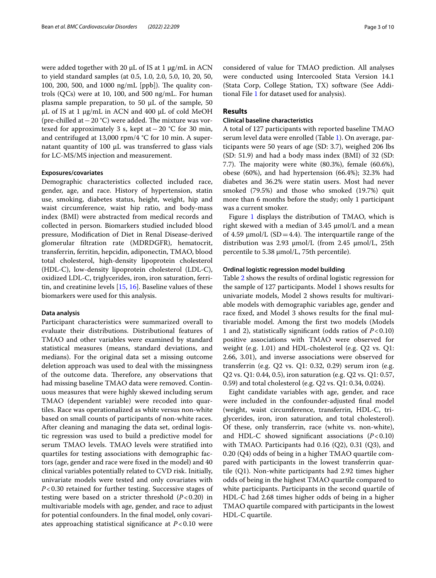were added together with 20 µL of IS at 1 µg/mL in ACN to yield standard samples (at 0.5, 1.0, 2.0, 5.0, 10, 20, 50, 100, 200, 500, and 1000 ng/mL [ppb]). The quality controls (QCs) were at 10, 100, and 500 ng/mL. For human plasma sample preparation, to 50  $\mu$ L of the sample, 50 µL of IS at 1 µg/mL in ACN and 400 µL of cold MeOH (pre-chilled at  $-20$  °C) were added. The mixture was vortexed for approximately 3 s, kept at  $-20$  °C for 30 min, and centrifuged at 13,000 rpm/4 °C for 10 min. A supernatant quantity of 100 µL was transferred to glass vials for LC-MS/MS injection and measurement.

#### **Exposures/covariates**

Demographic characteristics collected included race, gender, age, and race. History of hypertension, statin use, smoking, diabetes status, height, weight, hip and waist circumference, waist hip ratio, and body-mass index (BMI) were abstracted from medical records and collected in person. Biomarkers studied included blood pressure, Modifcation of Diet in Renal Disease-derived glomerular fltration rate (MDRDGFR), hematocrit, transferrin, ferritin, hepcidin, adiponectin, TMAO, blood total cholesterol, high-density lipoprotein cholesterol (HDL-C), low-density lipoprotein cholesterol (LDL-C), oxidized LDL-C, triglycerides, iron, iron saturation, ferritin, and creatinine levels [\[15,](#page-8-14) [16](#page-8-15)]. Baseline values of these biomarkers were used for this analysis.

#### **Data analysis**

Participant characteristics were summarized overall to evaluate their distributions. Distributional features of TMAO and other variables were examined by standard statistical measures (means, standard deviations, and medians). For the original data set a missing outcome deletion approach was used to deal with the missingness of the outcome data. Therefore, any observations that had missing baseline TMAO data were removed. Continuous measures that were highly skewed including serum TMAO (dependent variable) were recoded into quartiles. Race was operationalized as white versus non-white based on small counts of participants of non-white races. After cleaning and managing the data set, ordinal logistic regression was used to build a predictive model for serum TMAO levels. TMAO levels were stratifed into quartiles for testing associations with demographic factors (age, gender and race were fxed in the model) and 40 clinical variables potentially related to CVD risk. Initially, univariate models were tested and only covariates with *P*<0.30 retained for further testing. Successive stages of testing were based on a stricter threshold  $(P<0.20)$  in multivariable models with age, gender, and race to adjust for potential confounders. In the fnal model, only covariates approaching statistical signifcance at *P*<0.10 were considered of value for TMAO prediction. All analyses were conducted using Intercooled Stata Version 14.1 (Stata Corp, College Station, TX) software (See Additional File [1](#page-7-0) for dataset used for analysis).

## **Results**

#### **Clinical baseline characteristics**

A total of 127 participants with reported baseline TMAO serum level data were enrolled (Table [1\)](#page-3-0). On average, participants were 50 years of age (SD: 3.7), weighed 206 lbs (SD: 51.9) and had a body mass index (BMI) of 32 (SD: 7.7). The majority were white  $(80.3\%)$ , female  $(60.6\%)$ , obese (60%), and had hypertension (66.4%); 32.3% had diabetes and 36.2% were statin users. Most had never smoked (79.5%) and those who smoked (19.7%) quit more than 6 months before the study; only 1 participant was a current smoker.

Figure [1](#page-3-1) displays the distribution of TMAO, which is right skewed with a median of 3.45 μmol/L and a mean of 4.59  $\mu$ mol/L (SD = 4.4). The interquartile range of the distribution was 2.93 μmol/L (from 2.45 μmol/L, 25th percentile to 5.38 μmol/L, 75th percentile).

#### **Ordinal logistic regression model building**

Table [2](#page-4-0) shows the results of ordinal logistic regression for the sample of 127 participants. Model 1 shows results for univariate models, Model 2 shows results for multivariable models with demographic variables age, gender and race fxed, and Model 3 shows results for the fnal multivariable model. Among the frst two models (Models 1 and 2), statistically signifcant (odds ratios of *P*<0.10) positive associations with TMAO were observed for weight (e.g. 1.01) and HDL-cholesterol (e.g. Q2 vs. Q1: 2.66, 3.01), and inverse associations were observed for transferrin (e.g. Q2 vs. Q1: 0.32, 0.29) serum iron (e.g. Q2 vs. Q1: 0.44, 0.5), iron saturation (e.g. Q2 vs. Q1: 0.57, 0.59) and total cholesterol (e.g. Q2 vs. Q1: 0.34, 0.024).

Eight candidate variables with age, gender, and race were included in the confounder-adjusted fnal model (weight, waist circumference, transferrin, HDL-C, triglycerides, iron, iron saturation, and total cholesterol). Of these, only transferrin, race (white vs. non-white), and HDL-C showed signifcant associations (*P*<0.10) with TMAO. Participants had 0.16 (Q2), 0.31 (Q3), and 0.20 (Q4) odds of being in a higher TMAO quartile compared with participants in the lowest transferrin quartile (Q1). Non-white participants had 2.92 times higher odds of being in the highest TMAO quartile compared to white participants. Participants in the second quartile of HDL-C had 2.68 times higher odds of being in a higher TMAO quartile compared with participants in the lowest HDL-C quartile.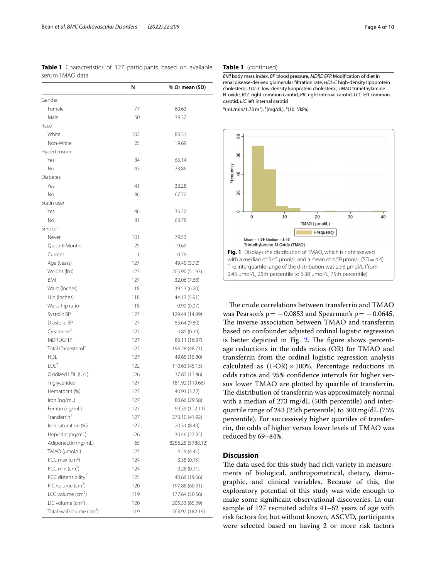<span id="page-3-0"></span>**Table 1** Characteristics of 127 participants based on available serum TMAO data

|                                                  | N   | % Or mean (SD)                   |
|--------------------------------------------------|-----|----------------------------------|
| Gender                                           |     |                                  |
| Female                                           | 77  | 60.63                            |
| Male                                             | 50  | 39.37                            |
| Race                                             |     |                                  |
| White                                            | 102 | 80.31                            |
| Non-White                                        | 25  | 19.69                            |
| Hypertension                                     |     |                                  |
| Yes                                              | 84  | 66.14                            |
| No                                               | 43  | 33.86                            |
| Diabetes                                         |     |                                  |
| Yes                                              | 41  | 32.28                            |
| No                                               | 86  | 67.72                            |
| Statin user                                      |     |                                  |
| Yes                                              | 46  | 36.22                            |
| <b>No</b>                                        | 81  | 63.78                            |
| Smoker                                           |     |                                  |
| Never                                            | 101 | 79.53                            |
| Quit > 6 Months                                  | 25  | 19.69                            |
| Current                                          | 1   | 0.79                             |
| Age (years)                                      | 127 | 49.40 (3.72)                     |
| Weight (lbs)                                     | 127 | 205.90 (51.93)                   |
| <b>BMI</b>                                       | 127 | 32.06 (7.68)                     |
| Waist (Inches)                                   | 118 | 39.53 (6.20)                     |
| Hip (Inches)                                     | 118 | 44.13 (5.91)                     |
| Waist-hip ratio                                  | 118 | 0.90(0.07)                       |
| Systolic BP                                      | 127 | 129.44 (14.89)                   |
| Diastolic BP                                     | 127 | 83.64 (9.80)                     |
| Creatinine <sup>†</sup>                          | 127 | 0.85(0.19)                       |
| MDRDGFR*                                         | 127 | 86.11 (16.37)                    |
| Total Cholesterol <sup>†</sup>                   | 127 | 196.28 (48.71)                   |
| $HDL+$                                           | 127 | 49.65 (15.80)                    |
| $LDL+$                                           | 122 | 110.63 (45.13)                   |
|                                                  | 126 |                                  |
| Oxidized LDL (U/L)<br>Triglycerides <sup>†</sup> | 127 | 37.87 (13.46)                    |
| Hematocrit (%)                                   | 127 | 181.92 (119.66)                  |
|                                                  |     | 40.91 (3.72)                     |
| Iron (ng/mL)<br>Ferritin (ng/mL)                 | 127 | 80.66 (29.58)                    |
| Transferrin <sup>†</sup>                         | 127 | 99.39 (112.11)<br>273.10 (41.92) |
| Iron saturation (%)                              | 127 |                                  |
|                                                  | 127 | 20.31 (8.43)<br>30.46 (27.35)    |
| Hepcidin (ng/mL)                                 | 126 |                                  |
| Adiponectin (ng/mL)                              | 65  | 8256.25 (5788.12)                |
| TMAO (µmol/L)                                    | 127 | 4.59 (4.41)                      |
| RCC max (cm <sup>2</sup> )                       | 124 | 0.35(0.15)                       |
| RCC min $(cm^2)$                                 | 124 | 0.28(0.11)                       |
| RCC distensibility <sup>#</sup>                  | 125 | 40.69 (19.66)                    |
| $RIC$ volume ( $cm2$ )                           | 120 | 197.88 (60.31)                   |
| LCC volume $(cm2)$                               | 119 | 177.64 (50.56)                   |
| LIC volume $(cm2)$                               | 120 | 205.53 (65.39)                   |
| Total wall volume (cm <sup>2</sup> )             | 119 | 763.92 (182.19)                  |

#### **Table 1** (continued)

*BMI* body mass index, *BP* blood pressure, *MDRDGFR* Modifcation of diet in renal disease-derived glomerular fltration rate, *HDL-C* high-density lipoprotein cholesterol, *LDL-C* low-density lipoprotein cholesterol, *TMAO* trimethylamine N-oxide, *RCC* right common carotid, *RIC* right internal carotid, *LCC* left common carotid, *LIC* left internal carotid

 $*(mL/min/1.73 m<sup>2</sup>), (mg/dL), (10<sup>-3</sup>/kPa)$ 



<span id="page-3-1"></span>The crude correlations between transferrin and TMAO was Pearson's  $\rho = -0.0853$  and Spearman's  $\rho = -0.0645$ . The inverse association between TMAO and transferrin based on confounder adjusted ordinal logistic regression is better depicted in Fig.  $2$ . The figure shows percentage reductions in the odds ratios (OR) for TMAO and transferrin from the ordinal logistic regression analysis calculated as  $(1-OR) \times 100\%$ . Percentage reductions in odds ratios and 95% confdence intervals for higher versus lower TMAO are plotted by quartile of transferrin. The distribution of transferrin was approximately normal with a median of 273 mg/dL (50th percentile) and interquartile range of 243 (25th percentile) to 300 mg/dL (75% percentile). For successively higher quartiles of transferrin, the odds of higher versus lower levels of TMAO was reduced by 69–84%.

### **Discussion**

The data used for this study had rich variety in measurements of biological, anthropometrical, dietary, demographic, and clinical variables. Because of this, the exploratory potential of this study was wide enough to make some signifcant observational discoveries. In our sample of 127 recruited adults 41–62 years of age with risk factors for, but without known, ASCVD, participants were selected based on having 2 or more risk factors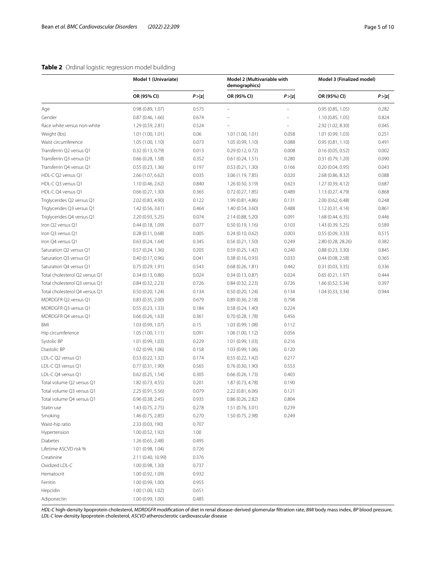## <span id="page-4-0"></span>**Table 2** Ordinal logistic regression model building

|                                | Model 1 (Univariate) |        | Model 2 (Multivariable with<br>demographics) |        | Model 3 (Finalized model) |        |
|--------------------------------|----------------------|--------|----------------------------------------------|--------|---------------------------|--------|
|                                | OR (95% CI)          | P >  z | OR (95% CI)                                  | P >  z | OR (95%) CI)              | P >  z |
| Age                            | 0.98 (0.89, 1.07)    | 0.575  |                                              |        | 0.95(0.85, 1.05)          | 0.282  |
| Gender                         | 0.87(0.46, 1.66)     | 0.674  |                                              |        | 1.10 (0.85, 1.05)         | 0.824  |
| Race white versus non-white    | 1.29 (0.59, 2.81)    | 0.524  |                                              |        | 2.92 (1.02, 8.30)         | 0.045  |
| Weight (lbs)                   | 1.01(1.00, 1.01)     | 0.06   | 1.01 (1.00, 1.01)                            | 0.058  | 1.01 (0.99, 1.03)         | 0.251  |
| Waist circumference            | 1.05 (1.00, 1.10)    | 0.073  | 1.05 (0.99, 1.10)                            | 0.088  | 0.95(0.81, 1.10)          | 0.491  |
| Transferrin Q2 versus Q1       | 0.32(0.13, 0.79)     | 0.013  | 0.29(0.12, 0.72)                             | 0.008  | 0.16(0.05, 0.52)          | 0.002  |
| Transferrin Q3 versus Q1       | $0.66$ (0.28, 1.58)  | 0.352  | 0.61(0.24, 1.51)                             | 0.280  | 0.31 (0.79, 1.20)         | 0.090  |
| Transferrin Q4 versus Q1       | 0.55(0.23, 1.36)     | 0.197  | 0.53(0.21, 1.30)                             | 0.166  | 0.20(0.04, 0.95)          | 0.043  |
| HDL-C Q2 versus Q1             | 2.66 (1.07, 6.62)    | 0.035  | 3.06 (1.19, 7.85)                            | 0.020  | 2.68 (0.86, 8.32)         | 0.088  |
| HDL-C Q3 versus Q1             | 1.10 (0.46, 2.62)    | 0.840  | 1.26 (0.50, 3.19)                            | 0.623  | 1.27 (0.39, 4.12)         | 0.687  |
| HDL-C Q4 versus Q1             | 0.66(0.27, 1.30)     | 0.365  | $0.72$ (0.27, 1.85)                          | 0.489  | 1.13 (0.27, 4.79)         | 0.868  |
| Triglycerides Q2 versus Q1     | 2.02 (0.83, 4.90)    | 0.122  | 1.99 (0.81, 4.86)                            | 0.131  | 2.00 (0.62, 6.48)         | 0.248  |
| Triglycerides Q3 versus Q1     | 1.42 (0.56, 3.61)    | 0.464  | 1.40 (0.54, 3.60)                            | 0.488  | 1.12 (0.31, 4.14)         | 0.861  |
| Triglycerides Q4 versus Q1     | 2.20 (0.93, 5.25)    | 0.074  | 2.14 (0.88, 5.20)                            | 0.091  | 1.68 (0.44, 6.35)         | 0.446  |
| Iron Q2 versus Q1              | 0.44(0.18, 1.09)     | 0.077  | 0.50(0.19, 1.16)                             | 0.103  | 1.43 (0.39, 5.25)         | 0.589  |
| Iron Q3 versus Q1              | 0.28(0.11, 0.68)     | 0.005  | 0.24(0.10, 0.62)                             | 0.003  | 0.55(0.09, 3.33)          | 0.515  |
| Iron Q4 versus Q1              | 0.63(0.24, 1.64)     | 0.345  | 0.56(0.21, 1.50)                             | 0.249  | 2.80 (0.28, 28.26)        | 0.382  |
| Saturation Q2 versus Q1        | 0.57(0.24, 1.36)     | 0.205  | 0.59(0.25, 1.42)                             | 0.240  | 0.88(0.23, 3.30)          | 0.845  |
| Saturation Q3 versus Q1        | 0.40(0.17, 0.96)     | 0.041  | 0.38(0.16, 0.93)                             | 0.033  | 0.44(0.08, 2.58)          | 0.365  |
| Saturation Q4 versus Q1        | 0.75(0.29, 1.91)     | 0.543  | 0.68(0.26, 1.81)                             | 0.442  | 0.31(0.03, 3.35)          | 0.336  |
| Total cholesterol Q2 versus Q1 | 0.34(0.13, 0.86)     | 0.024  | 0.34(0.13, 0.87)                             | 0.024  | 0.65(0.21, 1.97)          | 0.444  |
| Total cholesterol Q3 versus Q1 | 0.84(0.32, 2.23)     | 0.726  | 0.84(0.32, 2.23)                             | 0.726  | 1.66 (0.52, 5.34)         | 0.397  |
| Total cholesterol Q4 versus Q1 | 0.50 (0.20, 1.24)    | 0.134  | 0.50(0.20, 1.24)                             | 0.134  | 1.04 (0.33, 3.34)         | 0.944  |
| MDRDGFR Q2 versus Q1           | 0.83(0.35, 2.00)     | 0.679  | 0.89(0.36, 2.18)                             | 0.798  |                           |        |
| MDRDGFR Q3 versus Q1           | 0.55(0.23, 1.33)     | 0.184  | 0.58(0.24, 1.40)                             | 0.224  |                           |        |
| MDRDGFR Q4 versus Q1           | 0.66(0.26, 1.63)     | 0.361  | 0.70 (0.28, 1.78)                            | 0.456  |                           |        |
| BMI                            | 1.03 (0.99, 1.07)    | 0.15   | 1.03 (0.99, 1.08)                            | 0.112  |                           |        |
| Hip circumference              | 1.05(1.00, 1.11)     | 0.091  | 1.06 (1.00, 1.12)                            | 0.056  |                           |        |
| Systolic BP                    | 1.01 (0.99, 1.03)    | 0.229  | 1.01 (0.99, 1.03)                            | 0.216  |                           |        |
| Diastolic BP                   | 1.02 (0.99, 1.06)    | 0.158  | 1.03 (0.99, 1.06)                            | 0.120  |                           |        |
| LDL-C Q2 versus Q1             | 0.53(0.22, 1.32)     | 0.174  | 0.55(0.22, 1.42)                             | 0.217  |                           |        |
| LDL-C Q3 versus Q1             | 0.77(0.31, 1.90)     | 0.565  | 0.76(0.30, 1.90)                             | 0.553  |                           |        |
| LDL-C Q4 versus Q1             | $0.62$ (0.25, 1.54)  | 0.305  | 0.66(0.26, 1.73)                             | 0.403  |                           |        |
| Total volume Q2 versus Q1      | 1.82 (0.73, 4.55)    | 0.201  | 1.87 (0.73, 4.78)                            | 0.190  |                           |        |
| Total volume Q3 versus Q1      | 2.25 (0.91, 5.56)    | 0.079  | 2.22 (0.81, 6.06)                            | 0.121  |                           |        |
| Total volume Q4 versus Q1      | 0.96(0.38, 2.45)     | 0.935  | 0.86(0.26, 2.82)                             | 0.804  |                           |        |
| Statin use                     | 1.43 (0.75, 2.75)    | 0.278  | 1.51 (0.76, 3.01)                            | 0.239  |                           |        |
| Smoking                        | 1.46 (0.75, 2.85)    | 0.270  | 1.50 (0.75, 2.98)                            | 0.249  |                           |        |
| Waist-hip ratio                | 2.33 (0.03, 190)     | 0.707  |                                              |        |                           |        |
| Hypertension                   | 1.00 (0.52, 1.92)    | 1.00   |                                              |        |                           |        |
| <b>Diabetes</b>                | 1.26 (0.65, 2.48)    | 0.495  |                                              |        |                           |        |
| Lifetime ASCVD risk %          | 1.01 (0.98, 1.04)    | 0.726  |                                              |        |                           |        |
| Creatinine                     | 2.11 (0.40, 10.99)   | 0.376  |                                              |        |                           |        |
| Oxidized LDL-C                 | 1.00 (0.98, 1.30)    | 0.737  |                                              |        |                           |        |
| Hematocrit                     | 1.00 (0.92, 1.09)    | 0.932  |                                              |        |                           |        |
| Ferritin                       | 1.00 (0.99, 1.00)    | 0.955  |                                              |        |                           |        |
| Hepcidin                       | 1.00 (1.00, 1.02)    | 0.651  |                                              |        |                           |        |
| Adiponectin                    | 1.00 (0.99, 1.00)    | 0.485  |                                              |        |                           |        |

*HDL-C* high-density lipoprotein cholesterol, *MDRDGFR* modifcation of diet in renal disease-derived glomerular fltration rate, *BMI* body mass index, *BP* blood pressure, *LDL-C* low-density lipoprotein cholesterol, *ASCVD* atherosclerotic cardiovascular disease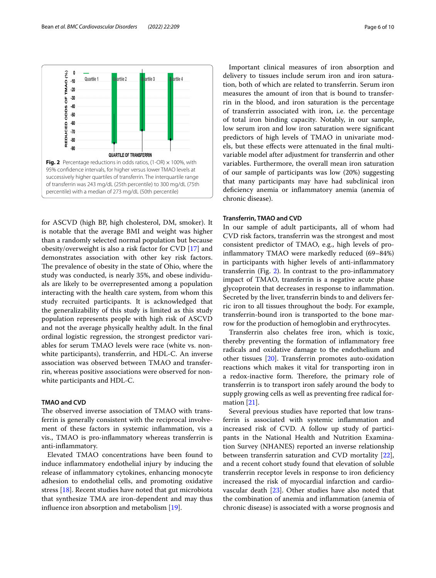

<span id="page-5-0"></span>for ASCVD (high BP, high cholesterol, DM, smoker). It is notable that the average BMI and weight was higher than a randomly selected normal population but because obesity/overweight is also a risk factor for CVD [[17](#page-8-16)] and demonstrates association with other key risk factors. The prevalence of obesity in the state of Ohio, where the study was conducted, is nearly 35%, and obese individuals are likely to be overrepresented among a population interacting with the health care system, from whom this study recruited participants. It is acknowledged that the generalizability of this study is limited as this study population represents people with high risk of ASCVD and not the average physically healthy adult. In the fnal ordinal logistic regression, the strongest predictor variables for serum TMAO levels were race (white vs. nonwhite participants), transferrin, and HDL-C. An inverse association was observed between TMAO and transferrin, whereas positive associations were observed for nonwhite participants and HDL-C.

#### **TMAO and CVD**

The observed inverse association of TMAO with transferrin is generally consistent with the reciprocal involvement of these factors in systemic infammation, vis a vis., TMAO is pro-infammatory whereas transferrin is anti-infammatory.

Elevated TMAO concentrations have been found to induce infammatory endothelial injury by inducing the release of infammatory cytokines, enhancing monocyte adhesion to endothelial cells, and promoting oxidative stress [\[18\]](#page-8-17). Recent studies have noted that gut microbiota that synthesize TMA are iron-dependent and may thus influence iron absorption and metabolism  $[19]$  $[19]$ .

Important clinical measures of iron absorption and delivery to tissues include serum iron and iron saturation, both of which are related to transferrin. Serum iron measures the amount of iron that is bound to transferrin in the blood, and iron saturation is the percentage of transferrin associated with iron, i.e. the percentage of total iron binding capacity. Notably, in our sample, low serum iron and low iron saturation were signifcant predictors of high levels of TMAO in univariate models, but these efects were attenuated in the fnal multivariable model after adjustment for transferrin and other variables. Furthermore, the overall mean iron saturation of our sample of participants was low (20%) suggesting that many participants may have had subclinical iron defciency anemia or infammatory anemia (anemia of chronic disease).

#### **Transferrin, TMAO and CVD**

In our sample of adult participants, all of whom had CVD risk factors, transferrin was the strongest and most consistent predictor of TMAO, e.g., high levels of proinfammatory TMAO were markedly reduced (69–84%) in participants with higher levels of anti-infammatory transferrin (Fig. [2](#page-5-0)). In contrast to the pro-infammatory impact of TMAO, transferrin is a negative acute phase glycoprotein that decreases in response to infammation. Secreted by the liver, transferrin binds to and delivers ferric iron to all tissues throughout the body. For example, transferrin-bound iron is transported to the bone marrow for the production of hemoglobin and erythrocytes.

Transferrin also chelates free iron, which is toxic, thereby preventing the formation of infammatory free radicals and oxidative damage to the endothelium and other tissues [\[20](#page-8-19)]. Transferrin promotes auto-oxidation reactions which makes it vital for transporting iron in a redox-inactive form. Therefore, the primary role of transferrin is to transport iron safely around the body to supply growing cells as well as preventing free radical formation [\[21](#page-8-20)].

Several previous studies have reported that low transferrin is associated with systemic infammation and increased risk of CVD. A follow up study of participants in the National Health and Nutrition Examination Survey (NHANES) reported an inverse relationship between transferrin saturation and CVD mortality [\[22](#page-8-21)], and a recent cohort study found that elevation of soluble transferrin receptor levels in response to iron defciency increased the risk of myocardial infarction and cardiovascular death [\[23](#page-8-22)]. Other studies have also noted that the combination of anemia and infammation (anemia of chronic disease) is associated with a worse prognosis and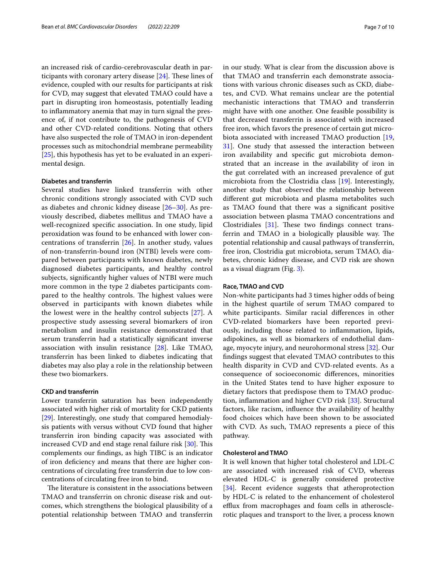an increased risk of cardio-cerebrovascular death in participants with coronary artery disease  $[24]$  $[24]$ . These lines of evidence, coupled with our results for participants at risk for CVD, may suggest that elevated TMAO could have a part in disrupting iron homeostasis, potentially leading to infammatory anemia that may in turn signal the presence of, if not contribute to, the pathogenesis of CVD and other CVD-related conditions. Noting that others have also suspected the role of TMAO in iron-dependent processes such as mitochondrial membrane permeability [[25\]](#page-8-24), this hypothesis has yet to be evaluated in an experimental design.

#### **Diabetes and transferrin**

Several studies have linked transferrin with other chronic conditions strongly associated with CVD such as diabetes and chronic kidney disease [[26–](#page-8-25)[30\]](#page-8-26). As previously described, diabetes mellitus and TMAO have a well-recognized specifc association. In one study, lipid peroxidation was found to be enhanced with lower concentrations of transferrin [[26\]](#page-8-25). In another study, values of non-transferrin-bound iron (NTBI) levels were compared between participants with known diabetes, newly diagnosed diabetes participants, and healthy control subjects, signifcantly higher values of NTBI were much more common in the type 2 diabetes participants compared to the healthy controls. The highest values were observed in participants with known diabetes while the lowest were in the healthy control subjects [\[27](#page-8-27)]. A prospective study assessing several biomarkers of iron metabolism and insulin resistance demonstrated that serum transferrin had a statistically signifcant inverse association with insulin resistance [\[28](#page-8-28)]. Like TMAO, transferrin has been linked to diabetes indicating that diabetes may also play a role in the relationship between these two biomarkers.

#### **CKD and transferrin**

Lower transferrin saturation has been independently associated with higher risk of mortality for CKD patients [[29\]](#page-8-29). Interestingly, one study that compared hemodialysis patients with versus without CVD found that higher transferrin iron binding capacity was associated with increased CVD and end stage renal failure risk  $[30]$ . This complements our fndings, as high TIBC is an indicator of iron defciency and means that there are higher concentrations of circulating free transferrin due to low concentrations of circulating free iron to bind.

The literature is consistent in the associations between TMAO and transferrin on chronic disease risk and outcomes, which strengthens the biological plausibility of a potential relationship between TMAO and transferrin in our study. What is clear from the discussion above is that TMAO and transferrin each demonstrate associations with various chronic diseases such as CKD, diabetes, and CVD. What remains unclear are the potential mechanistic interactions that TMAO and transferrin might have with one another. One feasible possibility is that decreased transferrin is associated with increased free iron, which favors the presence of certain gut microbiota associated with increased TMAO production [\[19](#page-8-18), [31\]](#page-8-30). One study that assessed the interaction between iron availability and specifc gut microbiota demonstrated that an increase in the availability of iron in the gut correlated with an increased prevalence of gut microbiota from the Clostridia class [[19\]](#page-8-18). Interestingly, another study that observed the relationship between diferent gut microbiota and plasma metabolites such as TMAO found that there was a signifcant positive association between plasma TMAO concentrations and Clostridiales  $[31]$  $[31]$ . These two findings connect transferrin and TMAO in a biologically plausible way. The potential relationship and causal pathways of transferrin, free iron, Clostridia gut microbiota, serum TMAO, diabetes, chronic kidney disease, and CVD risk are shown as a visual diagram (Fig. [3\)](#page-7-1).

#### **Race, TMAO and CVD**

Non-white participants had 3 times higher odds of being in the highest quartile of serum TMAO compared to white participants. Similar racial diferences in other CVD-related biomarkers have been reported previously, including those related to infammation, lipids, adipokines, as well as biomarkers of endothelial damage, myocyte injury, and neurohormonal stress [[32\]](#page-8-31). Our fndings suggest that elevated TMAO contributes to this health disparity in CVD and CVD-related events. As a consequence of socioeconomic diferences, minorities in the United States tend to have higher exposure to dietary factors that predispose them to TMAO production, infammation and higher CVD risk [[33\]](#page-9-0). Structural factors, like racism, infuence the availability of healthy food choices which have been shown to be associated with CVD. As such, TMAO represents a piece of this pathway.

#### **Cholesterol and TMAO**

It is well known that higher total cholesterol and LDL-C are associated with increased risk of CVD, whereas elevated HDL-C is generally considered protective [[34\]](#page-9-1). Recent evidence suggests that atheroprotection by HDL-C is related to the enhancement of cholesterol efflux from macrophages and foam cells in atherosclerotic plaques and transport to the liver, a process known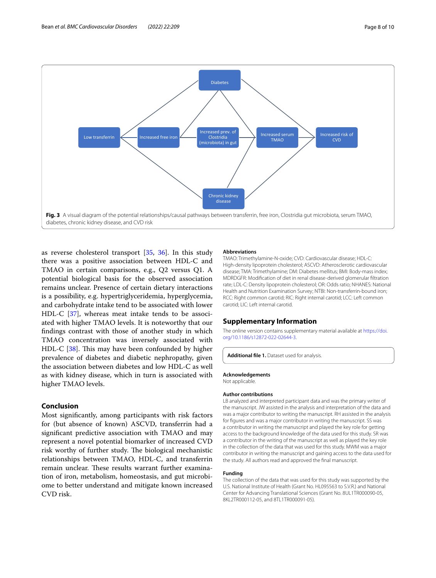

<span id="page-7-1"></span>as reverse cholesterol transport [\[35,](#page-9-2) [36\]](#page-9-3). In this study there was a positive association between HDL-C and TMAO in certain comparisons, e.g., Q2 versus Q1. A potential biological basis for the observed association remains unclear. Presence of certain dietary interactions is a possibility, e.g. hypertriglyceridemia, hyperglycemia, and carbohydrate intake tend to be associated with lower HDL-C [\[37](#page-9-4)], whereas meat intake tends to be associated with higher TMAO levels. It is noteworthy that our fndings contrast with those of another study in which TMAO concentration was inversely associated with HDL-C  $[38]$  $[38]$ . This may have been confounded by higher prevalence of diabetes and diabetic nephropathy, given the association between diabetes and low HDL-C as well as with kidney disease, which in turn is associated with higher TMAO levels.

### **Conclusion**

Most signifcantly, among participants with risk factors for (but absence of known) ASCVD, transferrin had a signifcant predictive association with TMAO and may represent a novel potential biomarker of increased CVD risk worthy of further study. The biological mechanistic relationships between TMAO, HDL-C, and transferrin remain unclear. These results warrant further examination of iron, metabolism, homeostasis, and gut microbiome to better understand and mitigate known increased CVD risk.

#### **Abbreviations**

TMAO: Trimethylamine-N-oxide; CVD: Cardiovascular disease; HDL-C: High-density lipoprotein cholesterol; ASCVD: Atherosclerotic cardiovascular disease; TMA: Trimethylamine; DM: Diabetes mellitus; BMI: Body-mass index; MDRDGFR: Modifcation of diet in renal disease-derived glomerular fltration rate; LDL-C: Density lipoprotein cholesterol; OR: Odds ratio; NHANES: National Health and Nutrition Examination Survey; NTBI: Non-transferrin-bound iron; RCC: Right common carotid; RIC: Right internal carotid; LCC: Left common carotid; LIC: Left internal carotid.

#### **Supplementary Information**

The online version contains supplementary material available at [https://doi.](https://doi.org/10.1186/s12872-022-02644-3) [org/10.1186/s12872-022-02644-3](https://doi.org/10.1186/s12872-022-02644-3).

<span id="page-7-0"></span>**Additional fle 1.** Dataset used for analysis.

**Acknowledgements**

Not applicable.

#### **Author contributions**

LB analyzed and interpreted participant data and was the primary writer of the manuscript. JW assisted in the analysis and interpretation of the data and was a major contributor to writing the manuscript. RH assisted in the analysis for fgures and was a major contributor in writing the manuscript. SS was a contributor in writing the manuscript and played the key role for getting access to the background knowledge of the data used for this study. SR was a contributor in the writing of the manuscript as well as played the key role in the collection of the data that was used for this study. MWM was a major contributor in writing the manuscript and gaining access to the data used for the study. All authors read and approved the fnal manuscript.

#### **Funding**

The collection of the data that was used for this study was supported by the U.S. National Institute of Health (Grant No. HL095563 to S.V.R.) and National Center for Advancing Translational Sciences (Grant No. 8UL1TR000090-05, 8KL2TR000112-05, and 8TL1TR000091-05).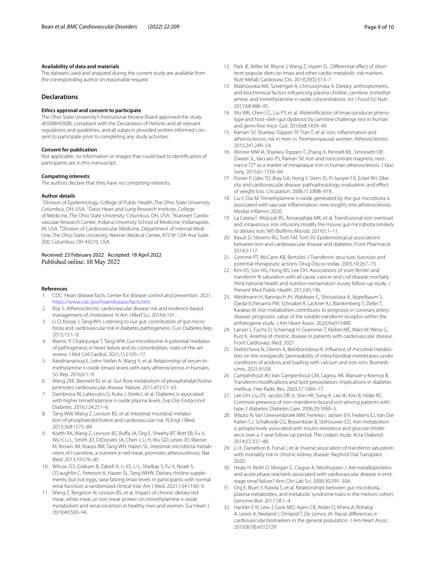#### **Availability of data and materials**

The datasets used and analyzed during the current study are available from the corresponding author on reasonable request.

#### **Declarations**

#### **Ethics approval and consent to participate**

The Ohio State University's Institutional Review Board approved the study (#2008H0308), compliant with the Declaration of Helsinki and all relevant regulations and guidelines, and all subjects provided written informed consent to participate prior to completing any study activities.

#### **Consent for publication**

Not applicable, no information or images that could lead to identifcation of participants are in this manuscript.

#### **Competing interests**

The authors declare that they have no competing interests.

#### **Author details**

<sup>1</sup> Division of Epidemiology, College of Public Health, The Ohio State University, Columbus, OH, USA. <sup>2</sup> Davis Heart and Lung Research Institute, College of Medicine, The Ohio State University, Columbus, OH, USA. <sup>3</sup>Krannert Cardiovascular Research Center, Indiana University School of Medicine, Indianapolis, IN, USA. <sup>4</sup> Division of Cardiovascular Medicine, Department of Internal Medicine, The Ohio State University, Wexner Medical Center, 473 W 12th Ave Suite 200, Columbus, OH 43210, USA.

## Received: 23 February 2022 Accepted: 18 April 2022

#### **References**

- <span id="page-8-0"></span>1. CDC. Heart disease facts. Center for disease control and prevention. 2021. <https://www.cdc.gov/heartdisease/facts.htm>.
- <span id="page-8-1"></span>2. Roy S. Atherosclerotic cardiovascular disease risk and evidence-based management of cholesterol. N Am J Med Sci. 2014;6:191.
- <span id="page-8-2"></span>3. Li D, Kirsop J, Tang WH. Listening to our gut: contribution of gut microbiota and cardiovascular risk in diabetes pathogenesis. Curr Diabetes Rep. 2015;15:1–9.
- <span id="page-8-3"></span>4. Mamic P, Chaikijurajai T, Tang WW. Gut microbiome-A potential mediator of pathogenesis in heart failure and its comorbidities: state-of-the-art review. J Mol Cell Cardiol. 2021;152:105–17.
- <span id="page-8-4"></span>5. Randrianarisoa E, Lehn-Stefan A, Wang X, et al. Relationship of serum trimethylamine n-oxide (tmao) levels with early atherosclerosis in humans. Sci Rep. 2016;6:1–9.
- <span id="page-8-5"></span>6. Wang ZKE, Bennett BJ, et al. Gut flora metabolism of phosphatidylcholine promotes cardiovascular disease. Nature. 2011;472:57–63.
- <span id="page-8-6"></span>7. Dambrova M, Latkovskis G, Kuka J, Strele I, et al. Diabetes is associated with higher trimethylamine n-oxide plasma levels. Exp Clin Endocrinol Diabetes. 2016;124:251–6.
- <span id="page-8-7"></span>8. Tang WW, Wang Z, Levison BS, et al. Intestinal microbial metabolism of phosphatidylcholine and cardiovascular risk. N Engl J Med. 2013;368:1575–84.
- <span id="page-8-8"></span>9. Koeth RA, Wang Z, Levison BS, Buffa JA, Org E, Sheehy BT, Britt EB, Fu X, Wu Y, Li L, Smith JD, DiDonato JA, Chen J, Li H, Wu GD, Lewis JD, Warrier M, Brown JM, Krauss RM, Tang WH, Hazen SL. Intestinal microbiota metabolism of l-carnitine, a nutrient in red meat, promotes atherosclerosis. Nat Med. 2013;19:576–85.
- <span id="page-8-9"></span>10. Wilcox JSS, Graham B, Zabell A, Li XS, Li L, Shelkay S, Fu X, Neale S, O'Laughlin C, Peterson K, Hazen SL, Tang WHW. Dietary choline supplements, but not eggs, raise fasting tmao levels in participants with normal renal function: a randomized clinical trial. Am J Med. 2021;134:1160–9.
- <span id="page-8-10"></span>11. Wang Z, Bergeron N, Levison BS, et al. Impact of chronic dietary red meat, white meat, or non-meat protein on trimethylamine n-oxide metabolism and renal excretion in healthy men and women. Eur Heart J. 2019;40:583–94.
- <span id="page-8-11"></span>12. Park JE, Miller M, Rhyne J, Wang Z, Hazen SL. Differential effect of shortterm popular diets on tmao and other cardio-metabolic risk markers. Nutr Metab Cardiovasc Dis. 2019;29(5):513–7.
- <span id="page-8-12"></span>13. Malinowska AM, Szwengiel A, Chmurzynska A. Dietary, anthropometric, and biochemical factors infuencing plasma choline, carnitine, trimethylamine, and trimethylamine-n-oxide concentrations. Int J Food Sci Nutr. 2017;68:488–95.
- <span id="page-8-13"></span>14. Wu WK, Chen CC, Liu PY, et al. Alidentifcation of tmao-producer phenotype and host–diet–gut dysbiosis by carnitine challenge test in human and germ-free mice. Gut. 2019;68:1439–49.
- <span id="page-8-14"></span>15. Raman SV, Sharkey-Toppen TP, Tran T, et al. Iron, infammation and atherosclerosis risk in men vs. Perimenopausal women. Atherosclerosis. 2015;241:249–54.
- <span id="page-8-15"></span>16. Winner MW III, Sharkey-Toppen T, Zhang X, Pennell ML, Simonetti OP, Zweier JL, Vaccaro PS, Raman SV. Iron and noncontrast magnetic resonance T2\* as a marker of intraplaque iron in human atherosclerosis. J Vasc Surg. 2015;61:1556–64.
- <span id="page-8-16"></span>17. Poirier P, Giles TD, Bray GA, Hong Y, Stern JS, Pi-Sunyer FX, Eckel RH. Obesity and cardiovascular disease: pathophysiology, evaluation, and efect of weight loss. Circulation. 2006;113:898–918.
- <span id="page-8-17"></span>18. Liu Y, Dai M. Trimethylamine n-oxide generated by the gut microbiota is associated with vascular infammation: new insights into atherosclerosis. Mediat Infamm. 2020.
- <span id="page-8-18"></span>19. La Carpia F, Wojczyk BS, Annavajhala MK, et al. Transfusional iron overload and intravenous iron infusions modify the mouse gut microbiota similarly to dietary iron. NPJ Bioflms Microb. 2019;5:1–11.
- <span id="page-8-19"></span>20. Basuli D, Stevens RG, Torti FM, Torti SV. Epidemiological associations between iron and cardiovascular disease and diabetes. Front Pharmacol. 2014;5:117.
- <span id="page-8-20"></span>21. Gomme PT, McCann KB, Bertolini J. Transferrin: structure, function and potential therapeutic actions. Drug Discov today. 2005;10:267–73.
- <span id="page-8-21"></span>22. Kim KS, Son HG, Hong NS, Lee DH. Associations of srum ferritin and transferrin % saturation with all cause, cancer and cvd disease mortlatiy: third national health and nutriton exmaination sruvey follow-up study. J Prevent Med Public Health. 2012;45:196.
- <span id="page-8-22"></span>23. Weidmann H, Bannasch JH, Waldeyer C, Shrivastava A, Appelbaum S, Ojeda-Echevarria FM, Schnabel R, Lackner KJ, Blankenberg S, Zeller T, Karakas M. Iron metabolism contributes to prognosis in coronary artery disease: prognostic value of the soluble transferrin receptor within the artherogene study. J Am Heart Assoc. 2020;9:e015480.
- <span id="page-8-23"></span>24. Lanser L, Fuchs D, Scharnagl H, Grammer T, Kleber ME, März W, Weiss G, Kurz K. Anemia of chronic disease in patients with cardiovascular disease. Front Cardiovasc Med. 2021.
- <span id="page-8-24"></span>25. Fedotcheva N, Olenin A, Beloborodova N. Infuence of microbial metabolites on the nonspecifc permeability of mitochondrial membranes under conditions of acidosis and loading with calcium and iron ions. Biomedicines. 2021;9:558.
- <span id="page-8-25"></span>26. Campenhout AV, Van Campenhout CM, Lagrou AR, Manuel-y-Keenoy B. Transferrin modifcations and lipid peroxidation: Implications in diabetes mellitus. Free Radic Res. 2003;37:1069–77.
- <span id="page-8-27"></span>27. Lee DH, Liu DY, Jacobs DR Jr, Shin HR, Song K, Lee IK, Kim B, Hider RC. Common presence of non–transferrin-bound iron among patients with type 2 diabetes. Diabetes Care. 2006;29:1090–5.
- <span id="page-8-28"></span>28. Wlazlo N, Van Greevenbroek MM, Ferreira I, Jansen EH, Feskens EJ, Van Der Kallen CJ, Schalkwijk CG, Bravenboer B, Stehouwer CD. Iron metabolism is prospectively associated with insulin resistance and glucose intolerance over a 7-year follow-up period: The codam study. Acta Diabetol. 2014;52:337–48.
- <span id="page-8-29"></span>29. Li X, Danielson K, Forsal I, et al. Inverse association of transferrin saturation with mortality risk in chronic kidney disease. Nephrol Dial Transplant. 2020.
- <span id="page-8-26"></span>30. Healy H, Reith D, Morgan C, Clague A, Westhuyzen J. Are metalloproteins and acute phase reactants associated with cardiovascular disease in endstage renal failure? Ann Clin Lab Sci. 2000;30:295–304.
- <span id="page-8-30"></span>31. Org E, Blum Y, Kasela S, et al. Relationships between gut microbiota, plasma metabolites, and metabolic syndrome traits in the metsim cohort. Genome Biol. 2017;18:1–4.
- <span id="page-8-31"></span>32. Hackler E III, Lew J, Gore MO, Ayers CR, Atzler D, Khera A, Rohatgi A, Lewis A, Neeland I, Omland T, De Lemos JA. Racial diferences in cardiovascular biomarkers in the general population. J Am Heart Assoc. 2019;8(18):e012729.